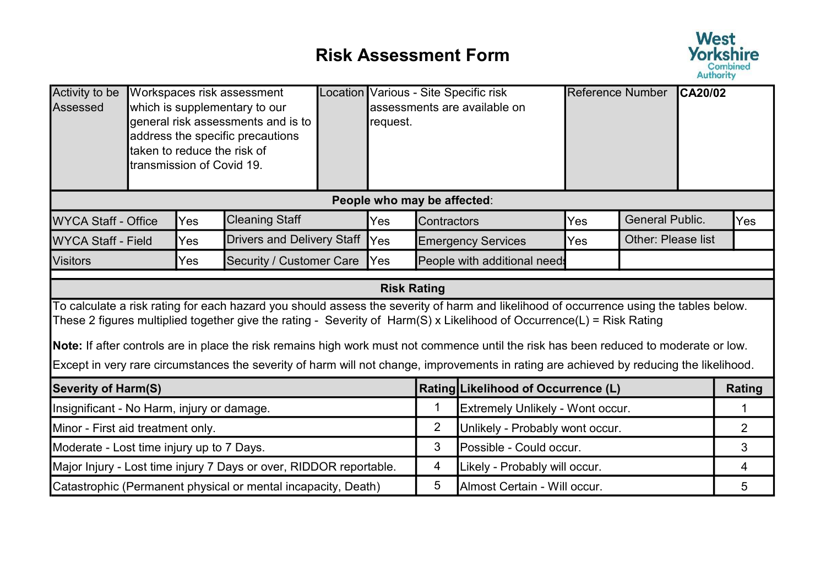## Risk Assessment Form



| Activity to be<br>Assessed                 |                                                                    | taken to reduce the risk of<br>ltransmission of Covid 19. | Workspaces risk assessment<br>which is supplementary to our<br>general risk assessments and is to<br>address the specific precautions |  | request.           |                                 | Location Various - Site Specific risk<br>assessments are available on                                                                                                                                                                                                                                                                                                                                                                                                                                                                               | Reference Number |                           | <b>CA20/02</b> |                |
|--------------------------------------------|--------------------------------------------------------------------|-----------------------------------------------------------|---------------------------------------------------------------------------------------------------------------------------------------|--|--------------------|---------------------------------|-----------------------------------------------------------------------------------------------------------------------------------------------------------------------------------------------------------------------------------------------------------------------------------------------------------------------------------------------------------------------------------------------------------------------------------------------------------------------------------------------------------------------------------------------------|------------------|---------------------------|----------------|----------------|
|                                            | People who may be affected:                                        |                                                           |                                                                                                                                       |  |                    |                                 |                                                                                                                                                                                                                                                                                                                                                                                                                                                                                                                                                     |                  |                           |                |                |
| <b>WYCA Staff - Office</b>                 |                                                                    | Yes                                                       | <b>Cleaning Staff</b>                                                                                                                 |  | Yes                | Contractors                     |                                                                                                                                                                                                                                                                                                                                                                                                                                                                                                                                                     | Yes              | <b>General Public.</b>    |                | Yes            |
| <b>WYCA Staff - Field</b>                  |                                                                    | Yes                                                       | <b>Drivers and Delivery Staff</b>                                                                                                     |  | <b>Yes</b>         |                                 | <b>Emergency Services</b>                                                                                                                                                                                                                                                                                                                                                                                                                                                                                                                           | <b>Yes</b>       | <b>Other: Please list</b> |                |                |
| Visitors                                   |                                                                    | Yes                                                       | <b>Security / Customer Care</b>                                                                                                       |  | Yes                |                                 | People with additional need:                                                                                                                                                                                                                                                                                                                                                                                                                                                                                                                        |                  |                           |                |                |
|                                            |                                                                    |                                                           |                                                                                                                                       |  | <b>Risk Rating</b> |                                 |                                                                                                                                                                                                                                                                                                                                                                                                                                                                                                                                                     |                  |                           |                |                |
|                                            |                                                                    |                                                           |                                                                                                                                       |  |                    |                                 | To calculate a risk rating for each hazard you should assess the severity of harm and likelihood of occurrence using the tables below.<br>These 2 figures multiplied together give the rating - Severity of Harm(S) x Likelihood of Occurrence(L) = Risk Rating<br>Note: If after controls are in place the risk remains high work must not commence until the risk has been reduced to moderate or low.<br>Except in very rare circumstances the severity of harm will not change, improvements in rating are achieved by reducing the likelihood. |                  |                           |                |                |
| <b>Severity of Harm(S)</b>                 |                                                                    |                                                           |                                                                                                                                       |  |                    |                                 | Rating Likelihood of Occurrence (L)                                                                                                                                                                                                                                                                                                                                                                                                                                                                                                                 |                  |                           |                | Rating         |
| Insignificant - No Harm, injury or damage. |                                                                    |                                                           |                                                                                                                                       |  |                    | 1                               | Extremely Unlikely - Wont occur.                                                                                                                                                                                                                                                                                                                                                                                                                                                                                                                    |                  |                           |                | 1              |
| Minor - First aid treatment only.          |                                                                    |                                                           |                                                                                                                                       |  | $\overline{2}$     | Unlikely - Probably wont occur. |                                                                                                                                                                                                                                                                                                                                                                                                                                                                                                                                                     |                  |                           | $\overline{2}$ |                |
| Moderate - Lost time injury up to 7 Days.  |                                                                    |                                                           |                                                                                                                                       |  | 3                  | Possible - Could occur.         |                                                                                                                                                                                                                                                                                                                                                                                                                                                                                                                                                     |                  |                           | 3              |                |
|                                            | Major Injury - Lost time injury 7 Days or over, RIDDOR reportable. |                                                           |                                                                                                                                       |  |                    | 4                               | Likely - Probably will occur.                                                                                                                                                                                                                                                                                                                                                                                                                                                                                                                       |                  |                           |                | $\overline{4}$ |
|                                            |                                                                    |                                                           | Catastrophic (Permanent physical or mental incapacity, Death)                                                                         |  |                    | 5                               | Almost Certain - Will occur.                                                                                                                                                                                                                                                                                                                                                                                                                                                                                                                        |                  |                           |                | 5              |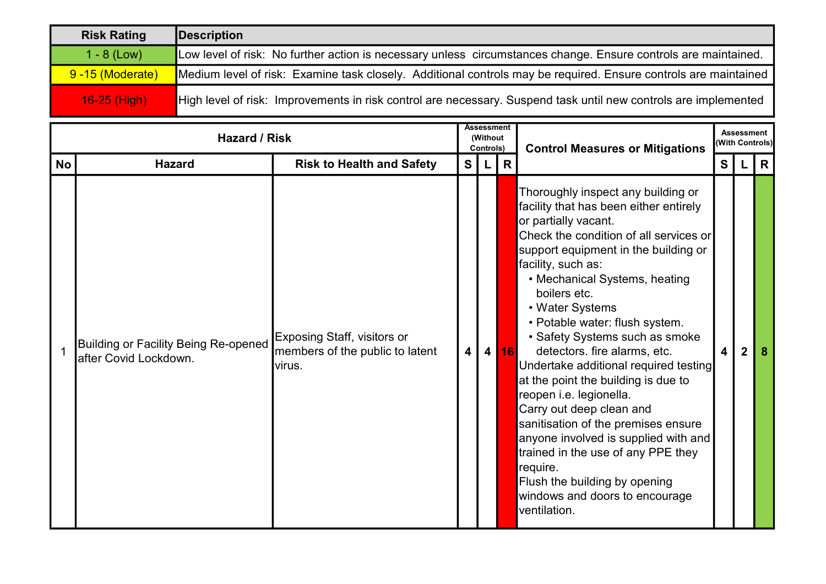| <b>Risk Rating</b> | Description                                                                                                     |
|--------------------|-----------------------------------------------------------------------------------------------------------------|
| $1 - 8$ (Low)      | Low level of risk: No further action is necessary unless circumstances change. Ensure controls are maintained.  |
| 9-15 (Moderate)    | Medium level of risk: Examine task closely. Additional controls may be required. Ensure controls are maintained |
| $16-25$ (High)     | High level of risk: Improvements in risk control are necessary. Suspend task until new controls are implemented |

|           | <b>Hazard / Risk</b>                                                  |                                                                                 |                         |                | Assessment<br>(Without<br>Controls) | <b>Control Measures or Mitigations</b>                                                                                                                                                                                                                                                                                                                                                                                                                                                                                                                                                                                                                                                                                                          |                         | <b>Assessment</b><br>(With Controls) |              |
|-----------|-----------------------------------------------------------------------|---------------------------------------------------------------------------------|-------------------------|----------------|-------------------------------------|-------------------------------------------------------------------------------------------------------------------------------------------------------------------------------------------------------------------------------------------------------------------------------------------------------------------------------------------------------------------------------------------------------------------------------------------------------------------------------------------------------------------------------------------------------------------------------------------------------------------------------------------------------------------------------------------------------------------------------------------------|-------------------------|--------------------------------------|--------------|
| <b>No</b> | <b>Hazard</b>                                                         | <b>Risk to Health and Safety</b>                                                | S                       | L              | $\mathsf{R}$                        |                                                                                                                                                                                                                                                                                                                                                                                                                                                                                                                                                                                                                                                                                                                                                 | S                       |                                      | $\mathsf{R}$ |
|           | <b>Building or Facility Being Re-opened</b><br>lafter Covid Lockdown. | <b>Exposing Staff, visitors or</b><br>members of the public to latent<br>virus. | $\overline{\mathbf{4}}$ | 4 <sup>1</sup> | <b>16</b>                           | Thoroughly inspect any building or<br>facility that has been either entirely<br>or partially vacant.<br>Check the condition of all services or<br>support equipment in the building or<br>facility, such as:<br>• Mechanical Systems, heating<br>boilers etc.<br>• Water Systems<br>• Potable water: flush system.<br>• Safety Systems such as smoke<br>detectors. fire alarms, etc.<br>Undertake additional required testing<br>at the point the building is due to<br>reopen i.e. legionella.<br>Carry out deep clean and<br>sanitisation of the premises ensure<br>anyone involved is supplied with and<br>trained in the use of any PPE they<br>require.<br>Flush the building by opening<br>windows and doors to encourage<br>ventilation. | $\overline{\mathbf{4}}$ | $\mathbf 2$                          | -8           |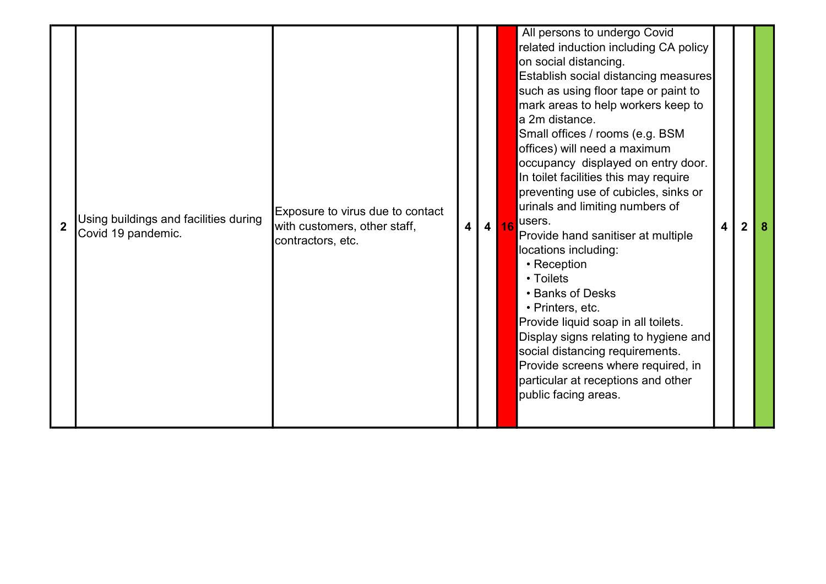| $\overline{2}$ | Using buildings and facilities during<br>Covid 19 pandemic. | Exposure to virus due to contact<br>with customers, other staff,<br>contractors, etc. | $\vert$ 4 | 4 16 | All persons to undergo Covid<br>related induction including CA policy<br>on social distancing.<br>Establish social distancing measures<br>such as using floor tape or paint to<br>mark areas to help workers keep to<br>a 2m distance.<br>Small offices / rooms (e.g. BSM<br>offices) will need a maximum<br>occupancy displayed on entry door.<br>In toilet facilities this may require<br>preventing use of cubicles, sinks or<br>urinals and limiting numbers of<br>users.<br>4<br>2<br>-8<br>Provide hand sanitiser at multiple<br>locations including:<br>• Reception<br>• Toilets<br>• Banks of Desks<br>• Printers, etc.<br>Provide liquid soap in all toilets.<br>Display signs relating to hygiene and<br>social distancing requirements.<br>Provide screens where required, in<br>particular at receptions and other<br>public facing areas. |
|----------------|-------------------------------------------------------------|---------------------------------------------------------------------------------------|-----------|------|--------------------------------------------------------------------------------------------------------------------------------------------------------------------------------------------------------------------------------------------------------------------------------------------------------------------------------------------------------------------------------------------------------------------------------------------------------------------------------------------------------------------------------------------------------------------------------------------------------------------------------------------------------------------------------------------------------------------------------------------------------------------------------------------------------------------------------------------------------|
|----------------|-------------------------------------------------------------|---------------------------------------------------------------------------------------|-----------|------|--------------------------------------------------------------------------------------------------------------------------------------------------------------------------------------------------------------------------------------------------------------------------------------------------------------------------------------------------------------------------------------------------------------------------------------------------------------------------------------------------------------------------------------------------------------------------------------------------------------------------------------------------------------------------------------------------------------------------------------------------------------------------------------------------------------------------------------------------------|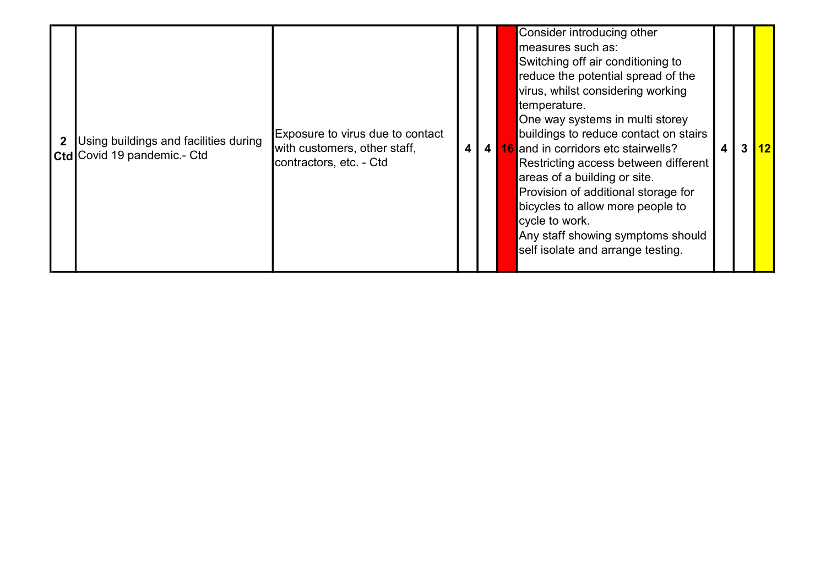|  | Using buildings and facilities during<br><b>Ctd</b> Covid 19 pandemic - Ctd | Exposure to virus due to contact<br>with customers, other staff,<br>contractors, etc. - Ctd | 4 | 4 <sup>1</sup> | Consider introducing other<br>measures such as:<br>Switching off air conditioning to<br>reduce the potential spread of the<br>virus, whilst considering working<br>temperature.<br>One way systems in multi storey<br>buildings to reduce contact on stairs<br><b>16</b> and in corridors etc stairwells?<br>3<br>4<br>Restricting access between different<br>areas of a building or site.<br>Provision of additional storage for<br>bicycles to allow more people to<br>cycle to work.<br>Any staff showing symptoms should<br>self isolate and arrange testing. | $\overline{112}$ |
|--|-----------------------------------------------------------------------------|---------------------------------------------------------------------------------------------|---|----------------|--------------------------------------------------------------------------------------------------------------------------------------------------------------------------------------------------------------------------------------------------------------------------------------------------------------------------------------------------------------------------------------------------------------------------------------------------------------------------------------------------------------------------------------------------------------------|------------------|
|--|-----------------------------------------------------------------------------|---------------------------------------------------------------------------------------------|---|----------------|--------------------------------------------------------------------------------------------------------------------------------------------------------------------------------------------------------------------------------------------------------------------------------------------------------------------------------------------------------------------------------------------------------------------------------------------------------------------------------------------------------------------------------------------------------------------|------------------|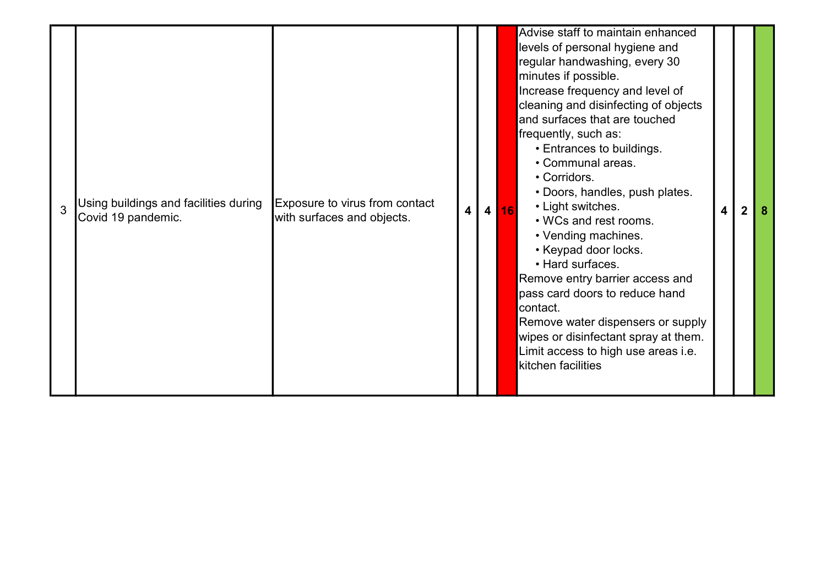| 3 | Using buildings and facilities during<br>Covid 19 pandemic. | Exposure to virus from contact<br>with surfaces and objects. | 4 | $\overline{4}$ | Advise staff to maintain enhanced<br>levels of personal hygiene and<br>regular handwashing, every 30<br>minutes if possible.<br>Increase frequency and level of<br>cleaning and disinfecting of objects<br>and surfaces that are touched<br>frequently, such as:<br>• Entrances to buildings.<br>• Communal areas.<br>• Corridors.<br>• Doors, handles, push plates.<br>• Light switches.<br>16<br>• WCs and rest rooms.<br>• Vending machines.<br>• Keypad door locks.<br>• Hard surfaces.<br>Remove entry barrier access and<br>pass card doors to reduce hand<br>contact.<br>Remove water dispensers or supply<br>wipes or disinfectant spray at them.<br>Limit access to high use areas i.e.<br>kitchen facilities | 4 | $\overline{2}$ |  |
|---|-------------------------------------------------------------|--------------------------------------------------------------|---|----------------|------------------------------------------------------------------------------------------------------------------------------------------------------------------------------------------------------------------------------------------------------------------------------------------------------------------------------------------------------------------------------------------------------------------------------------------------------------------------------------------------------------------------------------------------------------------------------------------------------------------------------------------------------------------------------------------------------------------------|---|----------------|--|
|---|-------------------------------------------------------------|--------------------------------------------------------------|---|----------------|------------------------------------------------------------------------------------------------------------------------------------------------------------------------------------------------------------------------------------------------------------------------------------------------------------------------------------------------------------------------------------------------------------------------------------------------------------------------------------------------------------------------------------------------------------------------------------------------------------------------------------------------------------------------------------------------------------------------|---|----------------|--|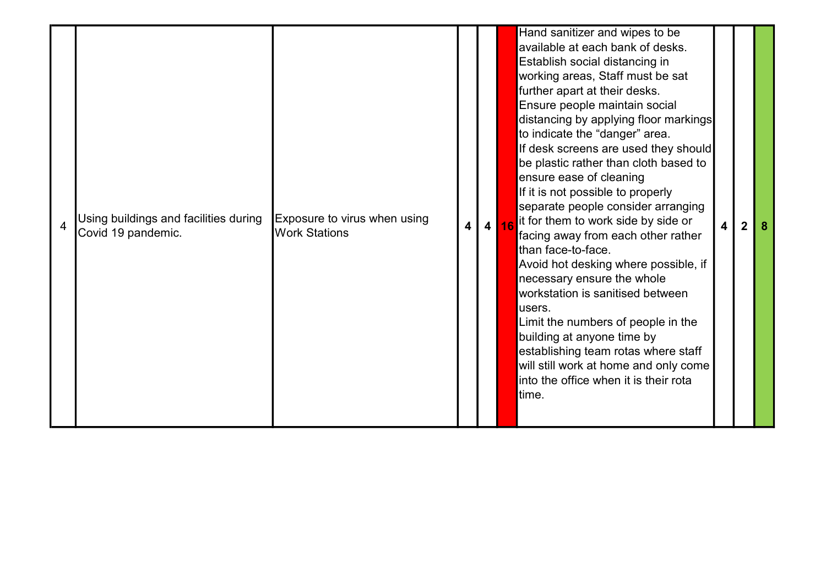| 4 | Using buildings and facilities during<br>Covid 19 pandemic. | Exposure to virus when using<br><b>Work Stations</b> | $\overline{\mathbf{4}}$ | 4 16 | Hand sanitizer and wipes to be<br>available at each bank of desks.<br>Establish social distancing in<br>working areas, Staff must be sat<br>further apart at their desks.<br>Ensure people maintain social<br>distancing by applying floor markings<br>to indicate the "danger" area.<br>If desk screens are used they should<br>be plastic rather than cloth based to<br>ensure ease of cleaning<br>If it is not possible to properly<br>separate people consider arranging<br>it for them to work side by side or<br>facing away from each other rather<br>than face-to-face.<br>Avoid hot desking where possible, if<br>necessary ensure the whole<br>workstation is sanitised between<br>users.<br>Limit the numbers of people in the<br>building at anyone time by<br>establishing team rotas where staff<br>will still work at home and only come<br>into the office when it is their rota<br>ltime. | $\overline{\mathbf{4}}$ | $\overline{2}$ |  |
|---|-------------------------------------------------------------|------------------------------------------------------|-------------------------|------|------------------------------------------------------------------------------------------------------------------------------------------------------------------------------------------------------------------------------------------------------------------------------------------------------------------------------------------------------------------------------------------------------------------------------------------------------------------------------------------------------------------------------------------------------------------------------------------------------------------------------------------------------------------------------------------------------------------------------------------------------------------------------------------------------------------------------------------------------------------------------------------------------------|-------------------------|----------------|--|
|---|-------------------------------------------------------------|------------------------------------------------------|-------------------------|------|------------------------------------------------------------------------------------------------------------------------------------------------------------------------------------------------------------------------------------------------------------------------------------------------------------------------------------------------------------------------------------------------------------------------------------------------------------------------------------------------------------------------------------------------------------------------------------------------------------------------------------------------------------------------------------------------------------------------------------------------------------------------------------------------------------------------------------------------------------------------------------------------------------|-------------------------|----------------|--|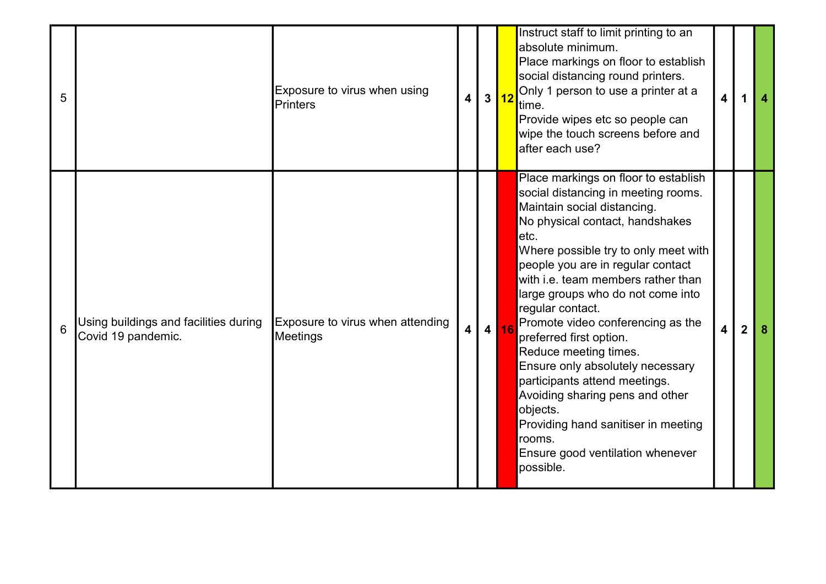| 5 |                                                             | Exposure to virus when using<br><b>Printers</b> | $\vert$ 4      | 3 <mark>12</mark> | Instruct staff to limit printing to an<br>absolute minimum.<br>Place markings on floor to establish<br>social distancing round printers.<br>Only 1 person to use a printer at a<br>time.<br>Provide wipes etc so people can<br>wipe the touch screens before and<br>after each use?                                                                                                                                                                                                                                                                                                                                                              | 4                       | 1              |  |
|---|-------------------------------------------------------------|-------------------------------------------------|----------------|-------------------|--------------------------------------------------------------------------------------------------------------------------------------------------------------------------------------------------------------------------------------------------------------------------------------------------------------------------------------------------------------------------------------------------------------------------------------------------------------------------------------------------------------------------------------------------------------------------------------------------------------------------------------------------|-------------------------|----------------|--|
| 6 | Using buildings and facilities during<br>Covid 19 pandemic. | Exposure to virus when attending<br>Meetings    | 4 <sup>1</sup> | 4 16              | Place markings on floor to establish<br>social distancing in meeting rooms.<br>Maintain social distancing.<br>No physical contact, handshakes<br>etc.<br>Where possible try to only meet with<br>people you are in regular contact<br>with i.e. team members rather than<br>large groups who do not come into<br>regular contact.<br>Promote video conferencing as the<br>preferred first option.<br>Reduce meeting times.<br>Ensure only absolutely necessary<br>participants attend meetings.<br>Avoiding sharing pens and other<br>objects.<br>Providing hand sanitiser in meeting<br>rooms.<br>Ensure good ventilation whenever<br>possible. | $\overline{\mathbf{4}}$ | $\overline{2}$ |  |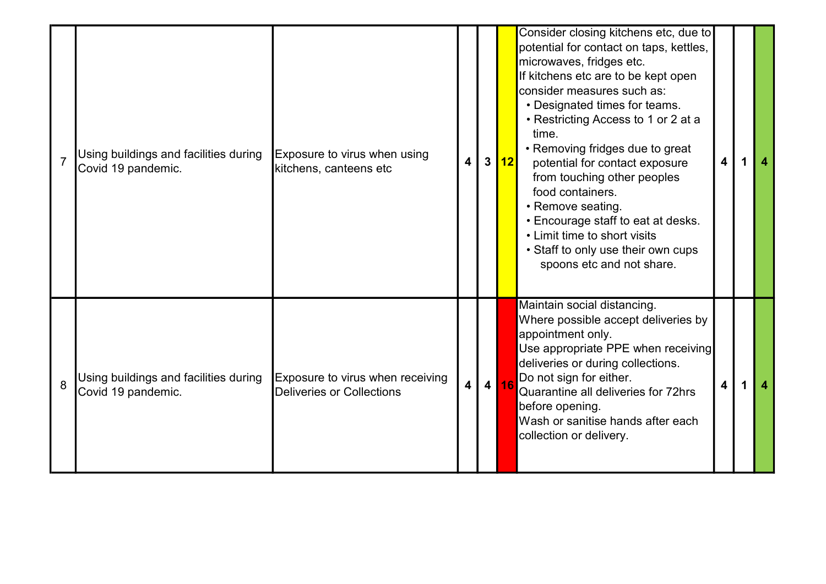|   | Using buildings and facilities during<br>Covid 19 pandemic. | Exposure to virus when using<br>kitchens, canteens etc               | $\overline{4}$ | 3 <sup>1</sup> | 12   | Consider closing kitchens etc, due to<br>potential for contact on taps, kettles,<br>microwaves, fridges etc.<br>If kitchens etc are to be kept open<br>consider measures such as:<br>• Designated times for teams.<br>• Restricting Access to 1 or 2 at a<br>time.<br>• Removing fridges due to great<br>potential for contact exposure<br>from touching other peoples<br>food containers.<br>• Remove seating.<br>• Encourage staff to eat at desks.<br>• Limit time to short visits<br>• Staff to only use their own cups<br>spoons etc and not share. | 4 | $\boldsymbol{4}$ |
|---|-------------------------------------------------------------|----------------------------------------------------------------------|----------------|----------------|------|----------------------------------------------------------------------------------------------------------------------------------------------------------------------------------------------------------------------------------------------------------------------------------------------------------------------------------------------------------------------------------------------------------------------------------------------------------------------------------------------------------------------------------------------------------|---|------------------|
| 8 | Using buildings and facilities during<br>Covid 19 pandemic. | Exposure to virus when receiving<br><b>Deliveries or Collections</b> | $\overline{4}$ |                | 4 16 | Maintain social distancing.<br>Where possible accept deliveries by<br>appointment only.<br>Use appropriate PPE when receiving<br>deliveries or during collections.<br>Do not sign for either.<br>Quarantine all deliveries for 72hrs<br>before opening.<br>Wash or sanitise hands after each<br>collection or delivery.                                                                                                                                                                                                                                  |   |                  |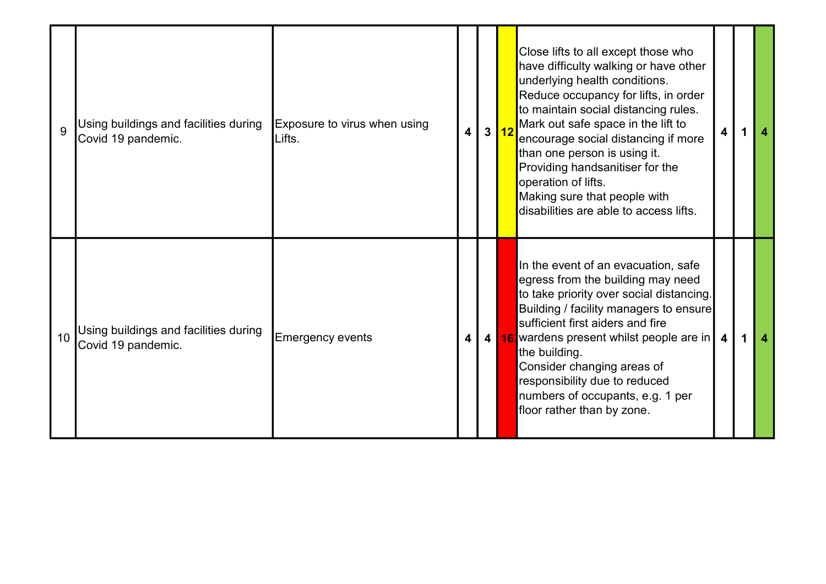| 9  | Using buildings and facilities during<br>Covid 19 pandemic. | Exposure to virus when using<br>Lifts. | $\overline{\mathbf{4}}$ | 3 12 | Close lifts to all except those who<br>have difficulty walking or have other<br>underlying health conditions.<br>Reduce occupancy for lifts, in order<br>to maintain social distancing rules.<br>Mark out safe space in the lift to<br>encourage social distancing if more<br>than one person is using it.<br>Providing handsanitiser for the<br>operation of lifts.<br>Making sure that people with<br>disabilities are able to access lifts. | 4                       |  |
|----|-------------------------------------------------------------|----------------------------------------|-------------------------|------|------------------------------------------------------------------------------------------------------------------------------------------------------------------------------------------------------------------------------------------------------------------------------------------------------------------------------------------------------------------------------------------------------------------------------------------------|-------------------------|--|
| 10 | Using buildings and facilities during<br>Covid 19 pandemic. | Emergency events                       | $\overline{\mathbf{4}}$ |      | In the event of an evacuation, safe<br>egress from the building may need<br>to take priority over social distancing.<br>Building / facility managers to ensure<br>sufficient first aiders and fire<br>4 16 wardens present whilst people are in<br>the building.<br>Consider changing areas of<br>responsibility due to reduced<br>numbers of occupants, e.g. 1 per<br>floor rather than by zone.                                              | $\overline{\mathbf{4}}$ |  |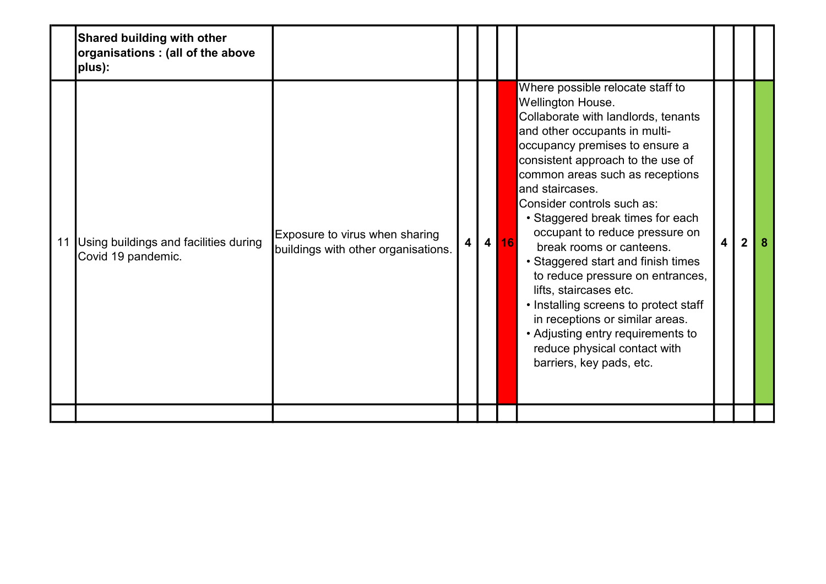|    | <b>Shared building with other</b><br>organisations : (all of the above<br>plus): |                                                                       |                         |      |                                                                                                                                                                                                                                                                                                                                                                                                                                                                                                                                                                                                                                                                             |                         |                |  |
|----|----------------------------------------------------------------------------------|-----------------------------------------------------------------------|-------------------------|------|-----------------------------------------------------------------------------------------------------------------------------------------------------------------------------------------------------------------------------------------------------------------------------------------------------------------------------------------------------------------------------------------------------------------------------------------------------------------------------------------------------------------------------------------------------------------------------------------------------------------------------------------------------------------------------|-------------------------|----------------|--|
| 11 | Using buildings and facilities during<br>Covid 19 pandemic.                      | Exposure to virus when sharing<br>buildings with other organisations. | $\overline{\mathbf{4}}$ | 4 16 | Where possible relocate staff to<br>Wellington House.<br>Collaborate with landlords, tenants<br>and other occupants in multi-<br>occupancy premises to ensure a<br>consistent approach to the use of<br>common areas such as receptions<br>and staircases.<br>Consider controls such as:<br>• Staggered break times for each<br>occupant to reduce pressure on<br>break rooms or canteens.<br>• Staggered start and finish times<br>to reduce pressure on entrances,<br>lifts, staircases etc.<br>• Installing screens to protect staff<br>in receptions or similar areas.<br>• Adjusting entry requirements to<br>reduce physical contact with<br>barriers, key pads, etc. | $\overline{\mathbf{4}}$ | $\overline{2}$ |  |
|    |                                                                                  |                                                                       |                         |      |                                                                                                                                                                                                                                                                                                                                                                                                                                                                                                                                                                                                                                                                             |                         |                |  |